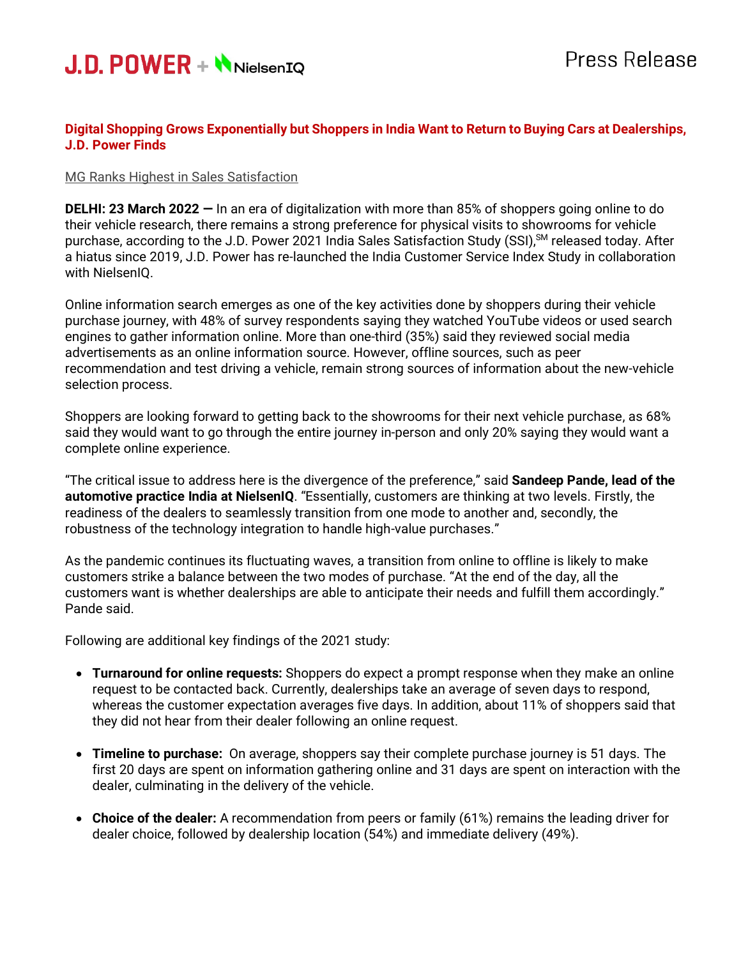

# **Digital Shopping Grows Exponentially but Shoppers in India Want to Return to Buying Cars at Dealerships, J.D. Power Finds**

#### MG Ranks Highest in Sales Satisfaction

**DELHI: 23 March 2022 —** In an era of digitalization with more than 85% of shoppers going online to do their vehicle research, there remains a strong preference for physical visits to showrooms for vehicle purchase, according to the J.D. Power 2021 India Sales Satisfaction Study (SSI),<sup>sM</sup> released today. After a hiatus since 2019, J.D. Power has re-launched the India Customer Service Index Study in collaboration with NielsenIQ.

Online information search emerges as one of the key activities done by shoppers during their vehicle purchase journey, with 48% of survey respondents saying they watched YouTube videos or used search engines to gather information online. More than one-third (35%) said they reviewed social media advertisements as an online information source. However, offline sources, such as peer recommendation and test driving a vehicle, remain strong sources of information about the new-vehicle selection process.

Shoppers are looking forward to getting back to the showrooms for their next vehicle purchase, as 68% said they would want to go through the entire journey in-person and only 20% saying they would want a complete online experience.

"The critical issue to address here is the divergence of the preference," said **Sandeep Pande, lead of the automotive practice India at NielsenIQ**. "Essentially, customers are thinking at two levels. Firstly, the readiness of the dealers to seamlessly transition from one mode to another and, secondly, the robustness of the technology integration to handle high-value purchases."

As the pandemic continues its fluctuating waves, a transition from online to offline is likely to make customers strike a balance between the two modes of purchase. "At the end of the day, all the customers want is whether dealerships are able to anticipate their needs and fulfill them accordingly." Pande said.

Following are additional key findings of the 2021 study:

- **Turnaround for online requests:** Shoppers do expect a prompt response when they make an online request to be contacted back. Currently, dealerships take an average of seven days to respond, whereas the customer expectation averages five days. In addition, about 11% of shoppers said that they did not hear from their dealer following an online request.
- **Timeline to purchase:** On average, shoppers say their complete purchase journey is 51 days. The first 20 days are spent on information gathering online and 31 days are spent on interaction with the dealer, culminating in the delivery of the vehicle.
- **Choice of the dealer:** A recommendation from peers or family (61%) remains the leading driver for dealer choice, followed by dealership location (54%) and immediate delivery (49%).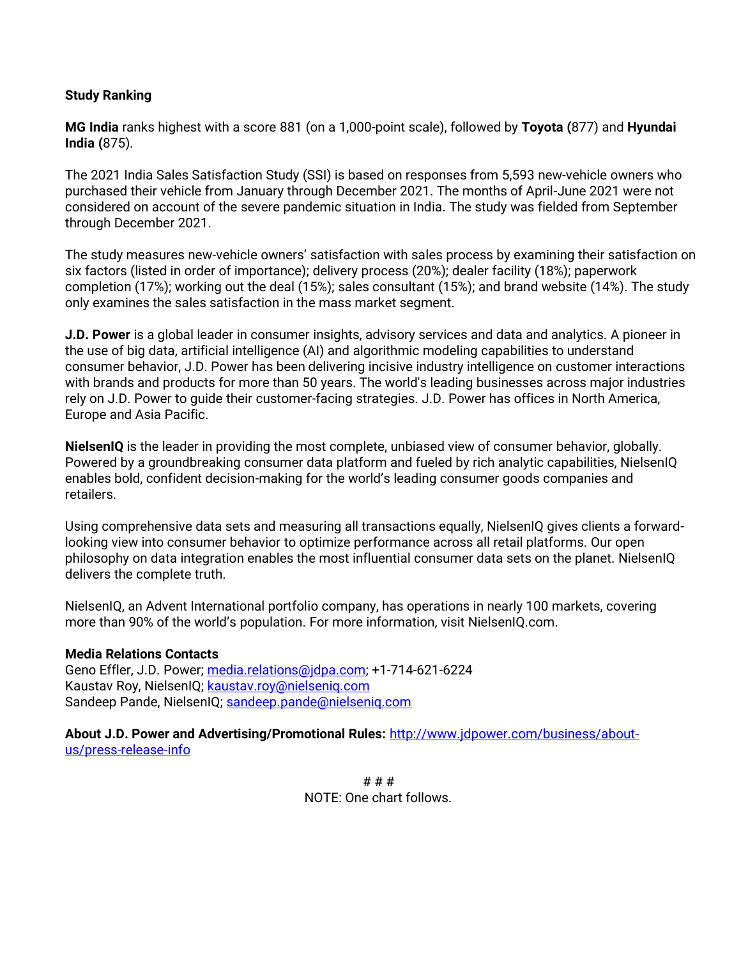# **Study Ranking**

**MG India** ranks highest with a score 881 (on a 1,000-point scale), followed by **Toyota (**877) and **Hyundai India (**875).

The 2021 India Sales Satisfaction Study (SSI) is based on responses from 5,593 new-vehicle owners who purchased their vehicle from January through December 2021. The months of April-June 2021 were not considered on account of the severe pandemic situation in India. The study was fielded from September through December 2021.

The study measures new-vehicle owners' satisfaction with sales process by examining their satisfaction on six factors (listed in order of importance); delivery process (20%); dealer facility (18%); paperwork completion (17%); working out the deal (15%); sales consultant (15%); and brand website (14%). The study only examines the sales satisfaction in the mass market segment.

**J.D. Power** is a global leader in consumer insights, advisory services and data and analytics. A pioneer in the use of big data, artificial intelligence (AI) and algorithmic modeling capabilities to understand consumer behavior, J.D. Power has been delivering incisive industry intelligence on customer interactions with brands and products for more than 50 years. The world's leading businesses across major industries rely on J.D. Power to guide their customer-facing strategies. J.D. Power has offices in North America, Europe and Asia Pacific.

**NielsenIQ** is the leader in providing the most complete, unbiased view of consumer behavior, globally. Powered by a groundbreaking consumer data platform and fueled by rich analytic capabilities, NielsenIQ enables bold, confident decision-making for the world's leading consumer goods companies and retailers.

Using comprehensive data sets and measuring all transactions equally, NielsenIQ gives clients a forwardlooking view into consumer behavior to optimize performance across all retail platforms. Our open philosophy on data integration enables the most influential consumer data sets on the planet. NielsenIQ delivers the complete truth.

NielsenIQ, an Advent International portfolio company, has operations in nearly 100 markets, covering more than 90% of the world's population. For more information, visit NielsenIQ.com.

## **Media Relations Contacts**

Geno Effler, J.D. Power; media.relations@idpa.com; +1-714-621-6224 Kaustav Roy, NielsenIQ; [kaustav.roy@nielseniq.com](mailto:kaustav.roy@nielseniq.com) Sandeep Pande, NielsenIQ; [sandeep.pande@nielseniq.com](mailto:sandeep.pande@nielseniq.com)

**About J.D. Power and Advertising/Promotional Rules:** [http://www.jdpower.com/business/about](http://www.jdpower.com/business/about-us/press-release-info)[us/press-release-info](http://www.jdpower.com/business/about-us/press-release-info)

> # # # NOTE: One chart follows.